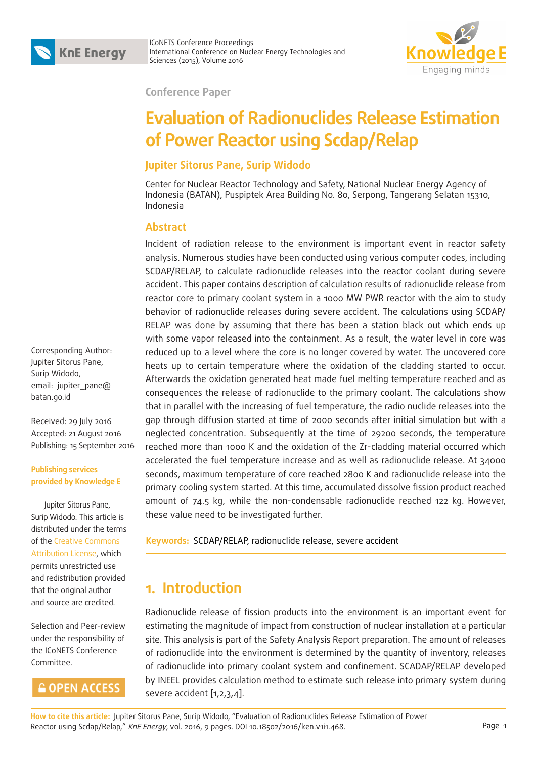

**Conference Paper**

# **Evaluation of Radionuclides Release Estimation of Power Reactor using Scdap/Relap**

#### **Jupiter Sitorus Pane, Surip Widodo**

Center for Nuclear Reactor Technology and Safety, National Nuclear Energy Agency of Indonesia (BATAN), Puspiptek Area Building No. 80, Serpong, Tangerang Selatan 15310, Indonesia

#### **Abstract**

Incident of radiation release to the environment is important event in reactor safety analysis. Numerous studies have been conducted using various computer codes, including SCDAP/RELAP, to calculate radionuclide releases into the reactor coolant during severe accident. This paper contains description of calculation results of radionuclide release from reactor core to primary coolant system in a 1000 MW PWR reactor with the aim to study behavior of radionuclide releases during severe accident. The calculations using SCDAP/ RELAP was done by assuming that there has been a station black out which ends up with some vapor released into the containment. As a result, the water level in core was reduced up to a level where the core is no longer covered by water. The uncovered core heats up to certain temperature where the oxidation of the cladding started to occur. Afterwards the oxidation generated heat made fuel melting temperature reached and as consequences the release of radionuclide to the primary coolant. The calculations show that in parallel with the increasing of fuel temperature, the radio nuclide releases into the gap through diffusion started at time of 2000 seconds after initial simulation but with a neglected concentration. Subsequently at the time of 29200 seconds, the temperature reached more than 1000 K and the oxidation of the Zr-cladding material occurred which accelerated the fuel temperature increase and as well as radionuclide release. At 34000 seconds, maximum temperature of core reached 2800 K and radionuclide release into the primary cooling system started. At this time, accumulated dissolve fission product reached amount of 74.5 kg, while the non-condensable radionuclide reached 122 kg. However, these value need to be investigated further.

**Keywords:** SCDAP/RELAP, radionuclide release, severe accident

## **1. Introduction**

Radionuclide release of fission products into the environment is an important event for estimating the magnitude of impact from construction of nuclear installation at a particular site. This analysis is part of the Safety Analysis Report preparation. The amount of releases of radionuclide into the environment is determined by the quantity of inventory, releases of radionuclide into primary coolant system and confinement. SCADAP/RELAP developed by INEEL provides calculation method to estimate such release into primary system during severe accident [1,2,3,4].

Corresponding Author: Jupiter Sitorus Pane, Surip Widodo, email: jupiter\_pane@ batan.go.id

Received: 29 July 2016 Accepted: 21 August 2016 Publishing: 15 September 2016

#### **Publishing services provided by Knowledge E**

 Jupiter Sitorus Pane, Surip Widodo. This article is distributed under the terms of the Creative Commons Attribution License, which permits unrestricted use and redistribution provided that the original author and source are credited.

Selection and Peer-review under the responsibility of the ICoNETS Conference Committee.

## **GOPEN ACCESS**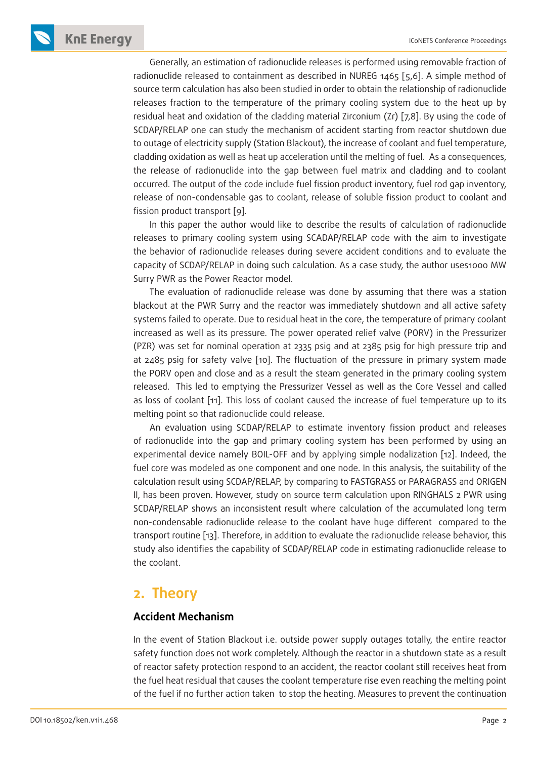Generally, an estimation of radionuclide releases is performed using removable fraction of radionuclide released to containment as described in NUREG 1465 [5,6]. A simple method of source term calculation has also been studied in order to obtain the relationship of radionuclide releases fraction to the temperature of the primary cooling system due to the heat up by residual heat and oxidation of the cladding material Zirconium (Zr) [7,8]. By using the code of SCDAP/RELAP one can study the mechanism of accident starting from reactor shutdown due to outage of electricity supply (Station Blackout), the increase of coolant and fuel temperature, cladding oxidation as well as heat up acceleration until the melting of fuel. As a consequences, the release of radionuclide into the gap between fuel matrix and cladding and to coolant occurred. The output of the code include fuel fission product inventory, fuel rod gap inventory, release of non-condensable gas to coolant, release of soluble fission product to coolant and fission product transport [9].

In this paper the author would like to describe the results of calculation of radionuclide releases to primary cooling system using SCADAP/RELAP code with the aim to investigate the behavior of radionuclide releases during severe accident conditions and to evaluate the capacity of SCDAP/RELAP in doing such calculation. As a case study, the author uses1000 MW Surry PWR as the Power Reactor model.

The evaluation of radionuclide release was done by assuming that there was a station blackout at the PWR Surry and the reactor was immediately shutdown and all active safety systems failed to operate. Due to residual heat in the core, the temperature of primary coolant increased as well as its pressure. The power operated relief valve (PORV) in the Pressurizer (PZR) was set for nominal operation at 2335 psig and at 2385 psig for high pressure trip and at 2485 psig for safety valve [10]. The fluctuation of the pressure in primary system made the PORV open and close and as a result the steam generated in the primary cooling system released. This led to emptying the Pressurizer Vessel as well as the Core Vessel and called as loss of coolant [11]. This loss of coolant caused the increase of fuel temperature up to its melting point so that radionuclide could release.

An evaluation using SCDAP/RELAP to estimate inventory fission product and releases of radionuclide into the gap and primary cooling system has been performed by using an experimental device namely BOIL-OFF and by applying simple nodalization [12]. Indeed, the fuel core was modeled as one component and one node. In this analysis, the suitability of the calculation result using SCDAP/RELAP, by comparing to FASTGRASS or PARAGRASS and ORIGEN II, has been proven. However, study on source term calculation upon RINGHALS 2 PWR using SCDAP/RELAP shows an inconsistent result where calculation of the accumulated long term non-condensable radionuclide release to the coolant have huge different compared to the transport routine [13]. Therefore, in addition to evaluate the radionuclide release behavior, this study also identifies the capability of SCDAP/RELAP code in estimating radionuclide release to the coolant.

## **2. Theory**

#### **Accident Mechanism**

In the event of Station Blackout i.e. outside power supply outages totally, the entire reactor safety function does not work completely. Although the reactor in a shutdown state as a result of reactor safety protection respond to an accident, the reactor coolant still receives heat from the fuel heat residual that causes the coolant temperature rise even reaching the melting point of the fuel if no further action taken to stop the heating. Measures to prevent the continuation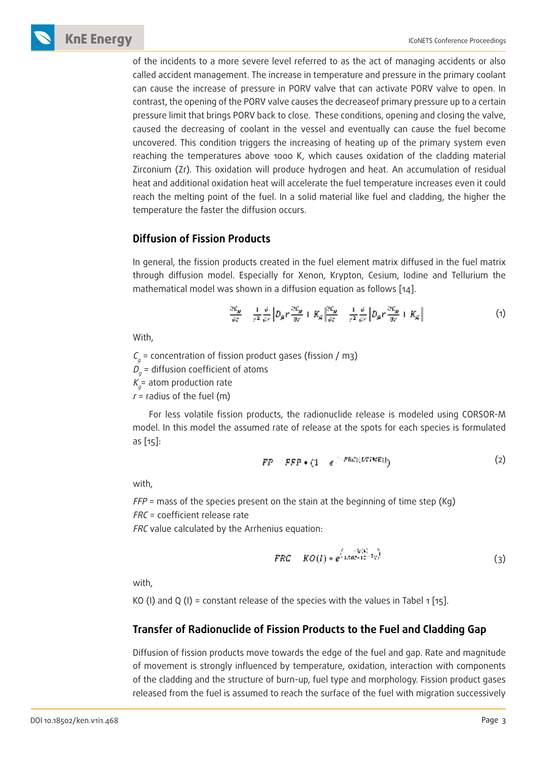of the incidents to a more severe level referred to as the act of managing accidents or also called accident management. The increase in temperature and pressure in the primary coolant can cause the increase of pressure in PORV valve that can activate PORV valve to open. In contrast, the opening of the PORV valve causes the decreaseof primary pressure up to a certain pressure limit that brings PORV back to close. These conditions, opening and closing the valve, caused the decreasing of coolant in the vessel and eventually can cause the fuel become uncovered. This condition triggers the increasing of heating up of the primary system even reaching the temperatures above 1000 K, which causes oxidation of the cladding material Zirconium (Zr). This oxidation will produce hydrogen and heat. An accumulation of residual heat and additional oxidation heat will accelerate the fuel temperature increases even it could reach the melting point of the fuel. In a solid material like fuel and cladding, the higher the temperature the faster the diffusion occurs.

#### **Diffusion of Fission Products**

In general, the fission products created in the fuel element matrix diffused in the fuel matrix through diffusion model. Especially for Xenon, Krypton, Cesium, Iodine and Tellurium the mathematical model was shown in a diffusion equation as follows [14].

$$
\frac{\partial C_y}{\partial t} = \frac{1}{r^2} \frac{\partial}{\partial r} \left[ D_y r \frac{\partial C_y}{\partial r} + K_y \left| \frac{\partial C_y}{\partial t} - \frac{1}{r^2} \frac{\partial}{\partial r} \left[ D_y r \frac{\partial C_y}{\partial r} + K_y \right] \right] \right] \tag{1}
$$

With,

 $\mathcal{C}_g$  = concentration of fission product gases (fission / m3)

 $\mathcal{D}_g$  = diffusion coefficient of atoms

 $\mathcal{K}_{g}^{}$ = atom production rate

 $r =$  radius of the fuel (m)

For less volatile fission products, the radionuclide release is modeled using CORSOR-M model. In this model the assumed rate of release at the spots for each species is formulated as [15]:

$$
FP = FFP \bullet (1 - e^{-FEG((DTINE))})
$$
 (2)

with,

 $FFP$  = mass of the species present on the stain at the beginning of time step (Kg) FRC = coefficient release rate

FRC value calculated by the Arrhenius equation:

$$
FRC = KO(I) * e^{(\frac{-1/C_1}{1.607 \times 10^{-3} \text{V}})} \tag{3}
$$

with,

KO (I) and Q (I) = constant release of the species with the values in Tabel 1 [15].

#### **Transfer of Radionuclide of Fission Products to the Fuel and Cladding Gap**

Diffusion of fission products move towards the edge of the fuel and gap. Rate and magnitude of movement is strongly influenced by temperature, oxidation, interaction with components of the cladding and the structure of burn-up, fuel type and morphology. Fission product gases released from the fuel is assumed to reach the surface of the fuel with migration successively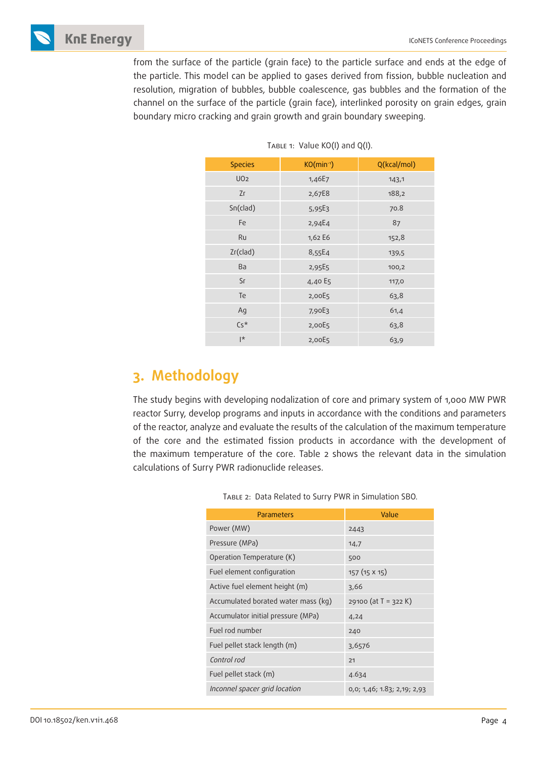

from the surface of the particle (grain face) to the particle surface and ends at the edge of the particle. This model can be applied to gases derived from fission, bubble nucleation and resolution, migration of bubbles, bubble coalescence, gas bubbles and the formation of the channel on the surface of the particle (grain face), interlinked porosity on grain edges, grain boundary micro cracking and grain growth and grain boundary sweeping.

| <b>Species</b>  | $KO(min^{-1})$ | Q(kcal/mol) |  |
|-----------------|----------------|-------------|--|
| UO <sub>2</sub> | 1,46E7         | 143,1       |  |
| Zг              | 2,67E8         | 188,2       |  |
| Sn(clad)        | $5,95E_3$      | 70.8        |  |
| Fe              | 2,94E4         | 87          |  |
| Ru              | 1,62 E6        | 152,8       |  |
| Zr(clad)        | 8,55E4         | 139,5       |  |
| Ba              | 2,95E5         | 100,2       |  |
| <b>Sr</b>       | 4,40 E5        | 117,0       |  |
| Te              | 2,00E5         | 63,8        |  |
| Ag              | 7,90E3         | 61,4        |  |
| $Cs*$           | 2,00E5         | 63,8        |  |
| l*              | 2,00E5         | 63,9        |  |

TABLE 1: Value KO(I) and Q(I).

## **3. Methodology**

The study begins with developing nodalization of core and primary system of 1,000 MW PWR reactor Surry, develop programs and inputs in accordance with the conditions and parameters of the reactor, analyze and evaluate the results of the calculation of the maximum temperature of the core and the estimated fission products in accordance with the development of the maximum temperature of the core. Table 2 shows the relevant data in the simulation calculations of Surry PWR radionuclide releases.

| Parameters                          | Value                       |
|-------------------------------------|-----------------------------|
| Power (MW)                          | 2443                        |
| Pressure (MPa)                      | 14,7                        |
| Operation Temperature (K)           | 500                         |
| Fuel element configuration          | 157 (15 X 15)               |
| Active fuel element height (m)      | 3,66                        |
| Accumulated borated water mass (kg) | 29100 (at $T = 322 K$ )     |
| Accumulator initial pressure (MPa)  | 4,24                        |
| Fuel rod number                     | 240                         |
| Fuel pellet stack length (m)        | 3,6576                      |
| Control rod                         | 21                          |
| Fuel pellet stack (m)               | 4.634                       |
| Inconnel spacer grid location       | 0,0; 1,46; 1.83; 2,19; 2,93 |

Table 2: Data Related to Surry PWR in Simulation SBO.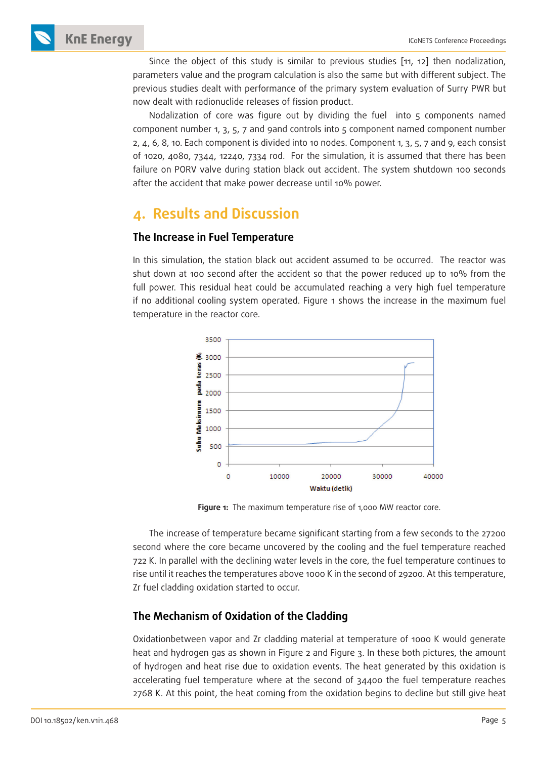Since the object of this study is similar to previous studies [11, 12] then nodalization, parameters value and the program calculation is also the same but with different subject. The previous studies dealt with performance of the primary system evaluation of Surry PWR but now dealt with radionuclide releases of fission product.

Nodalization of core was figure out by dividing the fuel into 5 components named component number 1, 3, 5, 7 and 9and controls into 5 component named component number 2, 4, 6, 8, 10. Each component is divided into 10 nodes. Component 1, 3, 5, 7 and 9, each consist of 1020, 4080, 7344, 12240, 7334 rod. For the simulation, it is assumed that there has been failure on PORV valve during station black out accident. The system shutdown 100 seconds after the accident that make power decrease until 10% power.

## **4. Results and Discussion**

#### **The Increase in Fuel Temperature**

In this simulation, the station black out accident assumed to be occurred. The reactor was shut down at 100 second after the accident so that the power reduced up to 10% from the full power. This residual heat could be accumulated reaching a very high fuel temperature if no additional cooling system operated. Figure 1 shows the increase in the maximum fuel temperature in the reactor core.



Figure 1: The maximum temperature rise of 1,000 MW reactor core.

The increase of temperature became significant starting from a few seconds to the 27200 second where the core became uncovered by the cooling and the fuel temperature reached 722 K. In parallel with the declining water levels in the core, the fuel temperature continues to rise until it reaches the temperatures above 1000 K in the second of 29200. At this temperature, Zr fuel cladding oxidation started to occur.

#### **The Mechanism of Oxidation of the Cladding**

Oxidationbetween vapor and Zr cladding material at temperature of 1000 K would generate heat and hydrogen gas as shown in Figure 2 and Figure 3. In these both pictures, the amount of hydrogen and heat rise due to oxidation events. The heat generated by this oxidation is accelerating fuel temperature where at the second of 34400 the fuel temperature reaches 2768 K. At this point, the heat coming from the oxidation begins to decline but still give heat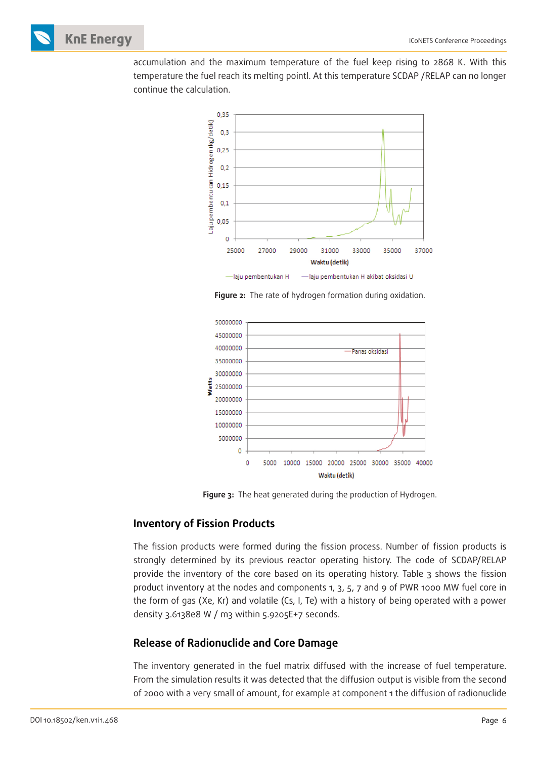accumulation and the maximum temperature of the fuel keep rising to 2868 K. With this temperature the fuel reach its melting pointl. At this temperature SCDAP /RELAP can no longer continue the calculation.



**Figure 2:** The rate of hydrogen formation during oxidation.



**Figure 3:** The heat generated during the production of Hydrogen.

#### **Inventory of Fission Products**

The fission products were formed during the fission process. Number of fission products is strongly determined by its previous reactor operating history. The code of SCDAP/RELAP provide the inventory of the core based on its operating history. Table 3 shows the fission product inventory at the nodes and components 1, 3, 5, 7 and 9 of PWR 1000 MW fuel core in the form of gas (Xe, Kr) and volatile (Cs, I, Te) with a history of being operated with a power density 3.6138e8 W / m3 within 5.9205E+7 seconds.

#### **Release of Radionuclide and Core Damage**

The inventory generated in the fuel matrix diffused with the increase of fuel temperature. From the simulation results it was detected that the diffusion output is visible from the second of 2000 with a very small of amount, for example at component 1 the diffusion of radionuclide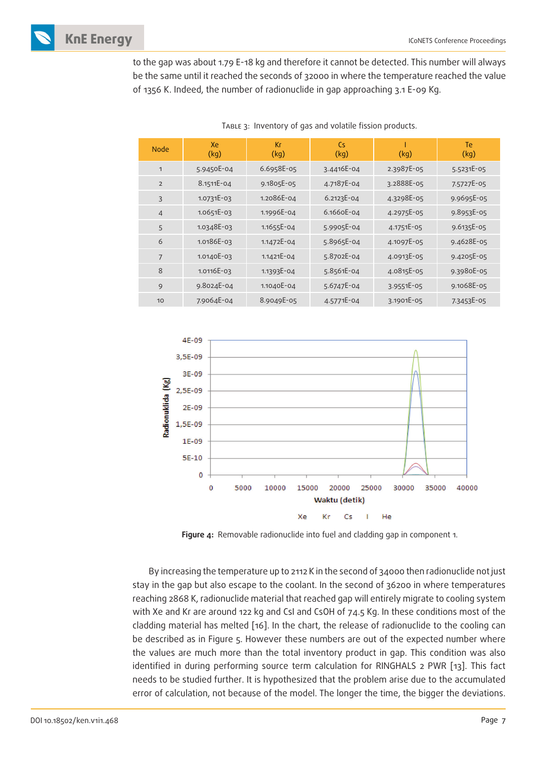

to the gap was about 1.79 E-18 kg and therefore it cannot be detected. This number will always be the same until it reached the seconds of 32000 in where the temperature reached the value of 1356 K. Indeed, the number of radionuclide in gap approaching 3.1 E-09 Kg.

| <b>Node</b>    | Xe<br>(kg)   | Кr<br>(kg) | Cs.<br>(kg) | (kg)       | <b>Te</b><br>(kg) |
|----------------|--------------|------------|-------------|------------|-------------------|
| 1              | 5.9450E-04   | 6.6958E-05 | 3.4416E-04  | 2.3987E-05 | 5.5231E-05        |
| $\overline{2}$ | $8.1511E-04$ | 9.1805E-05 | 4.7187E-04  | 3.2888E-05 | 7.5727E-05        |
| 3              | 1.0731E-03   | 1.2086E-04 | 6.2123E-04  | 4.3298E-05 | 9.9695E-05        |
| $\overline{4}$ | 1.0651E-03   | 1.1996E-04 | 6.1660E-04  | 4.2975E-05 | 9.8953E-05        |
| 5              | 1.0348E-03   | 1.1655E-04 | 5.9905E-04  | 4.1751E-05 | 9.6135E-05        |
| 6              | 1.0186E-03   | 1.1472E-04 | 5.8965E-04  | 4.1097E-05 | 9.4628E-05        |
| $\overline{7}$ | 1.0140E-03   | 1.1421E-04 | 5.8702E-04  | 4.0913E-05 | 9.4205E-05        |
| 8              | 1.0116E-03   | 1.1393E-04 | 5.8561E-04  | 4.0815E-05 | 9.3980E-05        |
| 9              | 9.8024E-04   | 1.1040E-04 | 5.6747E-04  | 3.9551E-05 | 9.1068E-05        |
| 10             | 7.9064E-04   | 8.9049E-05 | 4.5771E-04  | 3.1901E-05 | 7.3453E-05        |

Table 3: Inventory of gas and volatile fission products.



**Figure 4:** Removable radionuclide into fuel and cladding gap in component 1.

By increasing the temperature up to 2112 K in the second of 34000 then radionuclide not just stay in the gap but also escape to the coolant. In the second of 36200 in where temperatures reaching 2868 K, radionuclide material that reached gap will entirely migrate to cooling system with Xe and Kr are around 122 kg and CsI and CsOH of 74.5 Kg. In these conditions most of the cladding material has melted [16]. In the chart, the release of radionuclide to the cooling can be described as in Figure 5. However these numbers are out of the expected number where the values are much more than the total inventory product in gap. This condition was also identified in during performing source term calculation for RINGHALS 2 PWR [13]. This fact needs to be studied further. It is hypothesized that the problem arise due to the accumulated error of calculation, not because of the model. The longer the time, the bigger the deviations.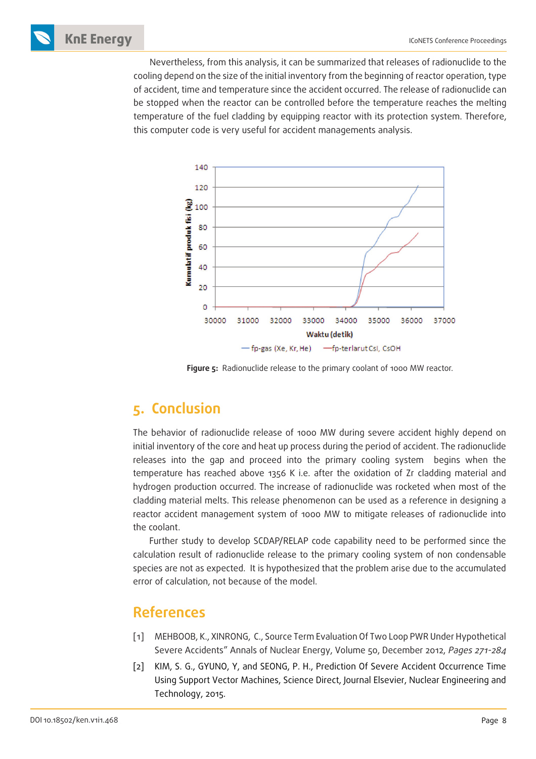Nevertheless, from this analysis, it can be summarized that releases of radionuclide to the cooling depend on the size of the initial inventory from the beginning of reactor operation, type of accident, time and temperature since the accident occurred. The release of radionuclide can be stopped when the reactor can be controlled before the temperature reaches the melting temperature of the fuel cladding by equipping reactor with its protection system. Therefore, this computer code is very useful for accident managements analysis.



Figure 5: Radionuclide release to the primary coolant of 1000 MW reactor.

## **5. Conclusion**

The behavior of radionuclide release of 1000 MW during severe accident highly depend on initial inventory of the core and heat up process during the period of accident. The radionuclide releases into the gap and proceed into the primary cooling system begins when the temperature has reached above 1356 K i.e. after the oxidation of Zr cladding material and hydrogen production occurred. The increase of radionuclide was rocketed when most of the cladding material melts. This release phenomenon can be used as a reference in designing a reactor accident management system of 1000 MW to mitigate releases of radionuclide into the coolant.

Further study to develop SCDAP/RELAP code capability need to be performed since the calculation result of radionuclide release to the primary cooling system of non condensable species are not as expected. It is hypothesized that the problem arise due to the accumulated error of calculation, not because of the model.

## **References**

- [1] MEHBOOB, K., XINRONG, C., Source Term Evaluation Of Two Loop PWR Under Hypothetical Severe Accidents" Annals of Nuclear Energy, Volume 50, December 2012, Pages 271-284
- [2] KIM, S. G., GYUNO, Y, and SEONG, P. H., Prediction Of Severe Accident Occurrence Time Using Support Vector Machines, Science Direct, Journal Elsevier, Nuclear Engineering and Technology, 2015.